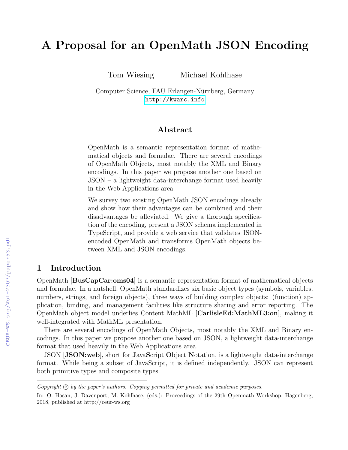# A Proposal for an OpenMath JSON Encoding

Tom Wiesing Michael Kohlhase

Computer Science, FAU Erlangen-Nürnberg, Germany <http://kwarc.info>

### ${\rm Abstract}$

OpenMath is a semantic representation format of mathematical objects and formulae. There are several encodings of OpenMath Objects, most notably the XML and Binary encodings. In this paper we propose another one based on JSON – a lightweight data-interchange format used heavily in the Web Applications area.

We survey two existing OpenMath JSON encodings already and show how their advantages can be combined and their disadvantages be alleviated. We give a thorough specification of the encoding, present a JSON schema implemented in TypeScript, and provide a web service that validates JSONencoded OpenMath and transforms OpenMath objects between XML and JSON encodings.

#### 1 Introduction

OpenMath [BusCapCar:oms04] is a semantic representation format of mathematical objects and formulae. In a nutshell, OpenMath standardizes six basic object types (symbols, variables, numbers, strings, and foreign objects), three ways of building complex objects: (function) application, binding, and management facilities like structure sharing and error reporting. The OpenMath object model underlies Content MathML [CarlisleEd:MathML3:on], making it well-integrated with MathML presentation.

There are several encodings of OpenMath Objects, most notably the XML and Binary encodings. In this paper we propose another one based on JSON, a lightweight data-interchange format that used heavily in the Web Applications area.

JSON [JSON:web], short for JavaScript Object Notation, is a lightweight data-interchange format. While being a subset of JavaScript, it is defined independently. JSON can represent both primitive types and composite types.

 $Copyright \odot by the paper's authors. \ Copyrighted for private and academic purposes.$ 

In: O. Hasan, J. Davenport, M. Kohlhase, (eds.): Proceedings of the 29th Openmath Workshop, Hagenberg, 2018, published at http://ceur-ws.org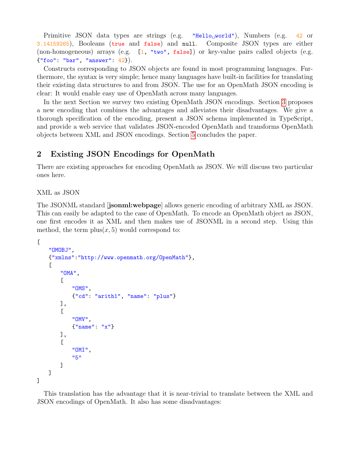Primitive JSON data types are strings (e.g. "Hello<sub>u</sub> world"), Numbers (e.g. 42 or 3.14159265), Booleans (true and false) and null. Composite JSON types are either (non-homogeneous) arrays (e.g. [1, "two", false]) or key-value pairs called objects (e.g. {"foo": "bar", "answer": 42}).

Constructs corresponding to JSON objects are found in most programming languages. Furthermore, the syntax is very simple; hence many languages have built-in facilities for translating their existing data structures to and from JSON. The use for an OpenMath JSON encoding is clear: It would enable easy use of OpenMath across many languages.

In the next Section we survey two existing OpenMath JSON encodings. Section [3](#page-3-0) proposes a new encoding that combines the advantages and alleviates their disadvantages. We give a thorough specification of the encoding, present a JSON schema implemented in TypeScript, and provide a web service that validates JSON-encoded OpenMath and transforms OpenMath objects between XML and JSON encodings. Section [5](#page-15-0) concludes the paper.

# 2 Existing JSON Encodings for OpenMath

There are existing approaches for encoding OpenMath as JSON. We will discuss two particular ones here.

XML as JSON

The JSONML standard [jsonml:webpage] allows generic encoding of arbitrary XML as JSON. This can easily be adapted to the case of OpenMath. To encode an OpenMath object as JSON, one first encodes it as XML and then makes use of JSONML in a second step. Using this method, the term  $plus(x, 5)$  would correspond to:

```
\Gamma"OMOBJ",
    {"xmlns":"http://www.openmath.org/OpenMath"},
    \Gamma"OMA",
         \Gamma"OMS",
             {"cd": "arith1", "name": "plus"}
         ],
         \Gamma"OMV",
             {"name": "x"}
         ],
         \Gamma"OMI",
             "5"
         ]
    ]
]
```
This translation has the advantage that it is near-trivial to translate between the XML and JSON encodings of OpenMath. It also has some disadvantages: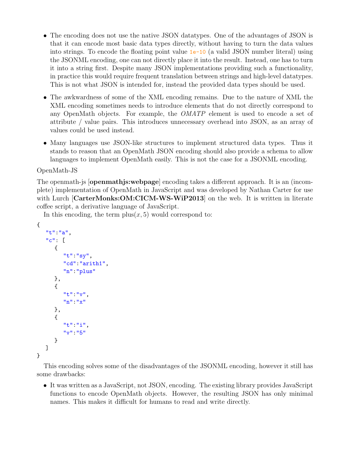- The encoding does not use the native JSON datatypes. One of the advantages of JSON is that it can encode most basic data types directly, without having to turn the data values into strings. To encode the floating point value 1e-10 (a valid JSON number literal) using the JSONML encoding, one can not directly place it into the result. Instead, one has to turn it into a string first. Despite many JSON implementations providing such a functionality, in practice this would require frequent translation between strings and high-level datatypes. This is not what JSON is intended for, instead the provided data types should be used.
- The awkwardness of some of the XML encoding remains. Due to the nature of XML the XML encoding sometimes needs to introduce elements that do not directly correspond to any OpenMath objects. For example, the OMATP element is used to encode a set of attribute / value pairs. This introduces unnecessary overhead into JSON, as an array of values could be used instead.
- Many languages use JSON-like structures to implement structured data types. Thus it stands to reason that an OpenMath JSON encoding should also provide a schema to allow languages to implement OpenMath easily. This is not the case for a JSONML encoding.

#### OpenMath-JS

The openmath-js [openmathjs:webpage] encoding takes a different approach. It is an (incomplete) implementation of OpenMath in JavaScript and was developed by Nathan Carter for use with Lurch [CarterMonks:OM:CICM-WS-WiP2013] on the web. It is written in literate coffee script, a derivative language of JavaScript.

In this encoding, the term  $plus(x, 5)$  would correspond to:

```
{
   "t":"a",
   "c": [
      {
         "t":"sy",
         "cd":"arith1",
         "n":"plus"
      },
      {
         "t":"v",
         "n":"x"
      },
      {
         "t":"i",
         "v":"5"
      }
   ]
}
```
This encoding solves some of the disadvantages of the JSONML encoding, however it still has some drawbacks:

• It was written as a JavaScript, not JSON, encoding. The existing library provides JavaScript functions to encode OpenMath objects. However, the resulting JSON has only minimal names. This makes it difficult for humans to read and write directly.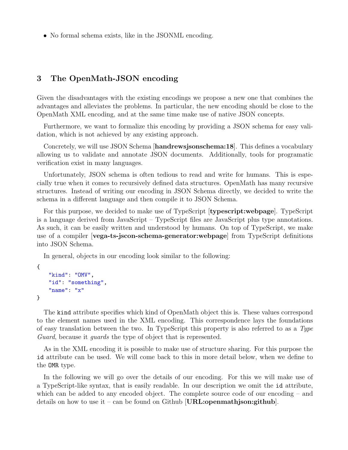• No formal schema exists, like in the JSONML encoding.

### <span id="page-3-0"></span>3 The OpenMath-JSON encoding

Given the disadvantages with the existing encodings we propose a new one that combines the advantages and alleviates the problems. In particular, the new encoding should be close to the OpenMath XML encoding, and at the same time make use of native JSON concepts.

Furthermore, we want to formalize this encoding by providing a JSON schema for easy validation, which is not achieved by any existing approach.

Concretely, we will use JSON Schema [handrewsjsonschema:18]. This defines a vocabulary allowing us to validate and annotate JSON documents. Additionally, tools for programatic verification exist in many languages.

Unfortunately, JSON schema is often tedious to read and write for humans. This is especially true when it comes to recursively defined data structures. OpenMath has many recursive structures. Instead of writing our encoding in JSON Schema directly, we decided to write the schema in a different language and then compile it to JSON Schema.

For this purpose, we decided to make use of TypeScript [typescript:webpage]. TypeScript is a language derived from JavaScript – TypeScript files are JavaScript plus type annotations. As such, it can be easily written and understood by humans. On top of TypeScript, we make use of a compiler [vega-ts-jscon-schema-generator:webpage] from TypeScript definitions into JSON Schema.

In general, objects in our encoding look similar to the following:

```
{
    "kind": "OMV",
    "id": "something",
    "name": "x"
}
```
The kind attribute specifies which kind of OpenMath object this is. These values correspond to the element names used in the XML encoding. This correspondence lays the foundations of easy translation between the two. In TypeScript this property is also referred to as a Type Guard, because it *guards* the type of object that is represented.

As in the XML encoding it is possible to make use of structure sharing. For this purpose the id attribute can be used. We will come back to this in more detail below, when we define to the OMR type.

In the following we will go over the details of our encoding. For this we will make use of a TypeScript-like syntax, that is easily readable. In our description we omit the id attribute, which can be added to any encoded object. The complete source code of our encoding – and details on how to use it – can be found on Github  $|URL:openmath>initial$ ; github.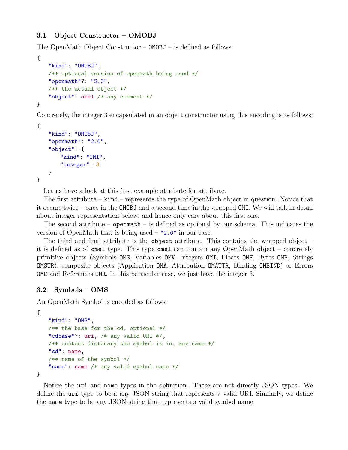#### 3.1 Object Constructor – OMOBJ

The OpenMath Object Constructor – OMOBJ – is defined as follows:

```
{
   "kind": "OMOBJ",
   /** optional version of openmath being used */
   "openmath"?: "2.0",
   /** the actual object */
   "object": omel /* any element */
}
```
Concretely, the integer 3 encapsulated in an object constructor using this encoding is as follows:

```
{
   "kind": "OMOBJ",
   "openmath": "2.0",
   "object": {
       "kind": "OMI",
       "integer": 3
   }
}
```
Let us have a look at this first example attribute for attribute.

The first attribute – kind – represents the type of OpenMath object in question. Notice that it occurs twice – once in the OMOBJ and a second time in the wrapped OMI. We will talk in detail about integer representation below, and hence only care about this first one.

The second attribute – openmath – is defined as optional by our schema. This indicates the version of OpenMath that is being used – "2.0" in our case.

The third and final attribute is the object attribute. This contains the wrapped object  $$ it is defined as of omel type. This type omel can contain any OpenMath object – concretely primitive objects (Symbols OMS, Variables OMV, Integers OMI, Floats OMF, Bytes OMB, Strings OMSTR), composite objects (Application OMA, Attribution OMATTR, Binding OMBIND) or Errors OME and References OMR. In this particular case, we just have the integer 3.

#### 3.2 Symbols – OMS

An OpenMath Symbol is encoded as follows:

```
{
   "kind": "OMS",
   /** the base for the cd, optional */
   "cdbase"?: uri, /* any valid URI */,
   /** content dictonary the symbol is in, any name */
   "cd": name,
   /** name of the symbol */
   "name": name /* any valid symbol name */
}
```
Notice the uri and name types in the definition. These are not directly JSON types. We define the uri type to be a any JSON string that represents a valid URI. Similarly, we define the name type to be any JSON string that represents a valid symbol name.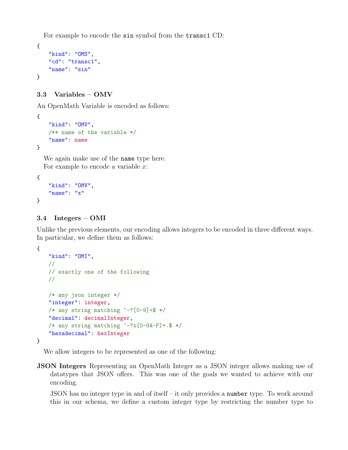For example to encode the sin symbol from the transc1 CD:

```
{
    "kind": "OMS",
    "cd": "transc1",
    "name": "sin"
}
```
### 3.3 Variables – OMV

An OpenMath Variable is encoded as follows:

```
{
   "kind": "OMV",
   /** name of the variable */
   "name": name
}
```
We again make use of the name type here. For example to encode a variable  $x$ :

```
{
    "kind": "OMV",
   "name": "x"
}
```
#### 3.4 Integers – OMI

Unlike the previous elements, our encoding allows integers to be encoded in three different ways. In particular, we define them as follows:

```
{
   "kind": "OMI",
   //
   // exactly one of the following
   //
   /* any json integer */
   "integer": integer,
   /* any string matching \hat{--}?[0-9]+$ */
   "decimal": decimalInteger,
   /* any string matching \hat{i}-?x[0-9A-F]+.$ */
   "hexadecimal": hexInteger
}
```
We allow integers to be represented as one of the following:

JSON Integers Representing an OpenMath Integer as a JSON integer allows making use of datatypes that JSON offers. This was one of the goals we wanted to achieve with our encoding.

JSON has no integer type in and of itself – it only provides a number type. To work around this in our schema, we define a custom integer type by restricting the number type to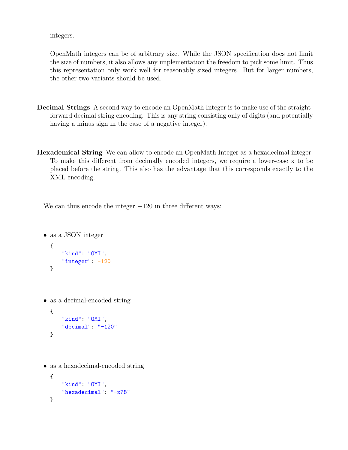integers.

OpenMath integers can be of arbitrary size. While the JSON specification does not limit the size of numbers, it also allows any implementation the freedom to pick some limit. Thus this representation only work well for reasonably sized integers. But for larger numbers, the other two variants should be used.

- Decimal Strings A second way to encode an OpenMath Integer is to make use of the straightforward decimal string encoding. This is any string consisting only of digits (and potentially having a minus sign in the case of a negative integer).
- Hexademical String We can allow to encode an OpenMath Integer as a hexadecimal integer. To make this different from decimally encoded integers, we require a lower-case x to be placed before the string. This also has the advantage that this corresponds exactly to the XML encoding.

We can thus encode the integer  $-120$  in three different ways:

```
• as a JSON integer
  {
      "kind": "OMI",
      "integer": -120
  }
```
• as a decimal-encoded string

```
{
    "kind": "OMI",
    "decimal": "-120"
}
```
• as a hexadecimal-encoded string

```
{
   "kind": "OMI",
   "hexadecimal": "-x78"
}
```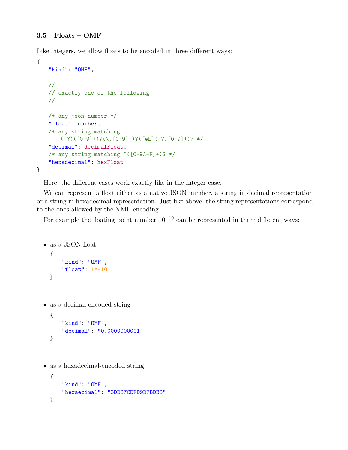Like integers, we allow floats to be encoded in three different ways:

```
{
   "kind": "OMF",
   //
   // exactly one of the following
   //
   /* any json number */
   "float": number,
   /* any string matching
       (-?)([0-9]+)?(\ . [0-9]+)?([eE](-?) [0-9]+)? */
   "decimal": decimalFloat,
   /* any string matching \hat{(-9A-F]}+\hat{)} */
   "hexadecimal": hexFloat
}
```
Here, the different cases work exactly like in the integer case.

We can represent a float either as a native JSON number, a string in decimal representation or a string in hexadecimal representation. Just like above, the string representations correspond to the ones allowed by the XML encoding.

For example the floating point number  $10^{-10}$  can be represented in three different ways:

```
• as a JSON float
  {
      "kind": "OMF",
      "float": 1e-10
  }
```
• as a decimal-encoded string

```
{
   "kind": "OMF",
   "decimal": "0.0000000001"
}
```
• as a hexadecimal-encoded string

```
{
   "kind": "OMF",
   "hexaecimal": "3DDB7CDFD9D7BDBB"
}
```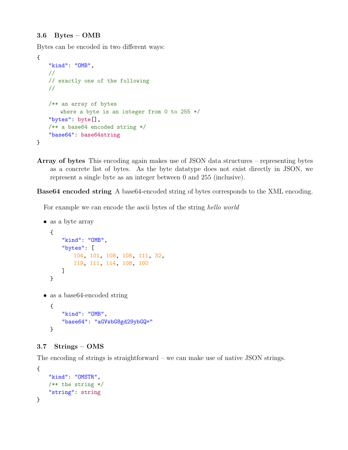#### 3.6 Bytes – OMB

Bytes can be encoded in two different ways:

```
{
   "kind": "OMB",
   //
   // exactly one of the following
   //
   /** an array of bytes
       where a byte is an integer from 0 to 255 */
   "bytes": byte[],
   /** a base64 encoded string */
   "base64": base64string
}
```
Array of bytes This encoding again makes use of JSON data structures – representing bytes as a concrete list of bytes. As the byte datatype does not exist directly in JSON, we represent a single byte as an integer between 0 and 255 (inclusive).

Base64 encoded string A base64-encoded string of bytes corresponds to the XML encoding.

For example we can encode the ascii bytes of the string hello world

```
• as a byte array
```

```
{
    "kind": "OMB",
   "bytes": [
       104, 101, 108, 108, 111, 32,
       119, 111, 114, 108, 100
   ]
}
```
• as a base 64-encoded string

```
{
   "kind": "OMB",
   "base64": "aGVsbG8gd29ybGQ="
}
```
#### 3.7 Strings – OMS

The encoding of strings is straightforward – we can make use of native JSON strings.

```
{
   "kind": "OMSTR",
   /** the string */
   "string": string
}
```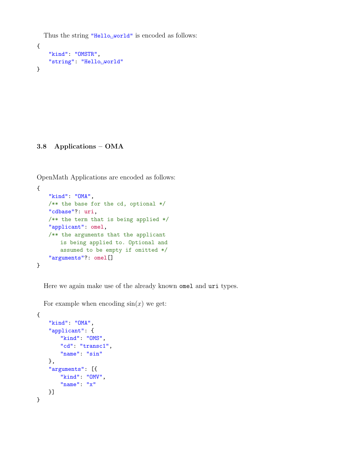Thus the string "Hello $\mu$ world" is encoded as follows:

```
{
   "kind": "OMSTR",
   "string": "Helloworld"
}
```
3.8 Applications – OMA

OpenMath Applications are encoded as follows:

```
{
   "kind": "OMA",
   /** the base for the cd, optional */
   "cdbase"?: uri,
   /** the term that is being applied */
   "applicant": omel,
   /** the arguments that the applicant
       is being applied to. Optional and
       assumed to be empty if omitted */
   "arguments"?: omel[]
}
```
Here we again make use of the already known omel and uri types.

For example when encoding  $sin(x)$  we get:

```
{
   "kind": "OMA",
   "applicant": {
       "kind": "OMS",
       "cd": "transc1",
       "name": "sin"
   },
   "arguments": [{
       "kind": "OMV",
       "name": "x"
   }]
}
```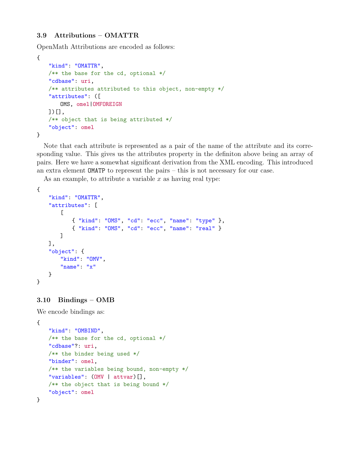#### 3.9 Attributions – OMATTR

OpenMath Attributions are encoded as follows:

```
{
   "kind": "OMATTR",
   /** the base for the cd, optional */
   "cdbase": uri,
   /** attributes attributed to this object, non-empty */
   "attributes": ([
       OMS, omel|OMFOREIGN
   ])[],
   /** object that is being attributed */
   "object": omel
}
```
Note that each attribute is represented as a pair of the name of the attribute and its corresponding value. This gives us the attributes property in the definiton above being an array of pairs. Here we have a somewhat significant derivation from the XML encoding. This introduced an extra element OMATP to represent the pairs – this is not necessary for our case.

As an example, to attribute a variable  $x$  as having real type:

```
{
   "kind": "OMATTR",
   "attributes": [
       \Gamma{ "kind": "OMS", "cd": "ecc", "name": "type" },
           { "kind": "OMS", "cd": "ecc", "name": "real" }
       ]
   ],
   "object": {
       "kind": "OMV",
       "name": "x"
   }
}
```
#### 3.10 Bindings – OMB

We encode bindings as:

```
{
   "kind": "OMBIND",
   /** the base for the cd, optional */
   "cdbase"?: uri,
   /** the binder being used */
   "binder": omel,
   /** the variables being bound, non-empty */
   "variables": (OMV | attvar)[],
   /** the object that is being bound */
   "object": omel
}
```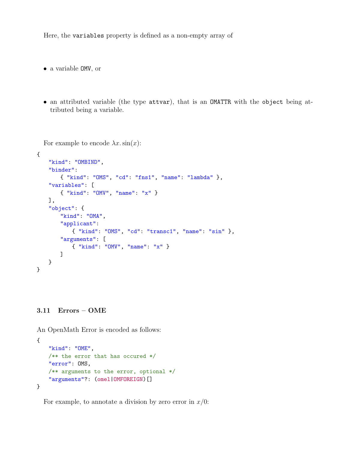Here, the variables property is defined as a non-empty array of

• a variable OMV, or

• an attributed variable (the type attvar), that is an OMATTR with the object being attributed being a variable.

```
For example to encode \lambda x \cdot \sin(x):
{
   "kind": "OMBIND",
   "binder":
       { "kind": "OMS", "cd": "fns1", "name": "lambda" },
   "variables": [
       { "kind": "OMV", "name": "x" }
   ],
   "object": {
       "kind": "OMA",
       "applicant":
           { "kind": "OMS", "cd": "transc1", "name": "sin" },
       "arguments": [
           { "kind": "OMV", "name": "x" }
       ]
   }
}
```
#### 3.11 Errors – OME

An OpenMath Error is encoded as follows:

```
{
   "kind": "OME",
   /** the error that has occured */
   "error": OMS,
   /** arguments to the error, optional */
   "arguments"?: (omel|OMFOREIGN)[]
}
```
For example, to annotate a division by zero error in  $x/0$ :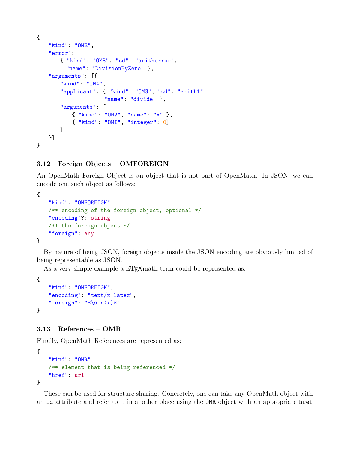```
{
   "kind": "OME",
   "error":
       { "kind": "OMS", "cd": "aritherror",
         "name": "DivisionByZero" },
   "arguments": [{
       "kind": "OMA",
       "applicant": { "kind": "OMS", "cd": "arith1",
                     "name": "divide" },
       "arguments": [
           { "kind": "OMV", "name": "x" },
           { "kind": "OMI", "integer": 0}
       ]
   }]
}
```
#### 3.12 Foreign Objects – OMFOREIGN

An OpenMath Foreign Object is an object that is not part of OpenMath. In JSON, we can encode one such object as follows:

```
{
   "kind": "OMFOREIGN",
   /** encoding of the foreign object, optional */
   "encoding"?: string,
   /** the foreign object */
   "foreign": any
}
```
By nature of being JSON, foreign objects inside the JSON encoding are obviously limited of being representable as JSON.

As a very simple example a LAT<sub>E</sub>X math term could be represented as:

```
{
    "kind": "OMFOREIGN",
    "encoding": "text/x-latex",
    "foreign": "$\sin(x)$"
}
```
#### 3.13 References – OMR

Finally, OpenMath References are represented as:

```
{
   "kind": "OMR"
   /** element that is being referenced */
   "href": uri
}
```
These can be used for structure sharing. Concretely, one can take any OpenMath object with an id attribute and refer to it in another place using the OMR object with an appropriate href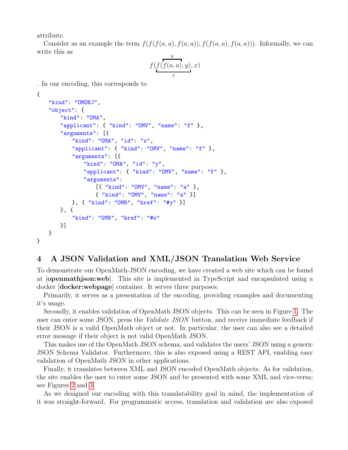attribute.

Consider as an example the term  $f(f(f(a, a), f(a, a)), f(f(a, a), f(a, a)))$ . Informally, we can write this as

$$
f(f(f(a,a),y),x)
$$

. In our encoding, this corresponds to

```
{
```
}

```
"kind": "OMOBJ",
"object": {
   "kind": "OMA",
   "applicant": { "kind": "OMV", "name": "f" },
   "arguments": [{
       "kind": "OMA", "id": "x",
       "applicant": { "kind": "OMV", "name": "f" },
       "arguments": [{
           "kind": "OMA", "id": "y",
           "applicant": { "kind": "OMV", "name": "f" },
           "arguments":
               [{ "kind": "OMV", "name": "a" },
               { "kind": "OMV", "name": "a" }]
       }, { "kind": "OMR", "href": "#y" }]
   }, {
       "kind": "OMR", "href": "#x"
   }]
}
```
# 4 A JSON Validation and XML/JSON Translation Web Service

To demonstrate our OpenMath-JSON encoding, we have created a web site which can be found at [openmathjson:web]. This site is implemented in TypeScript and encapsulated using a docker [docker:webpage] container. It serves three purposes:

Primarily, it serves as a presentation of the encoding, providing examples and documenting it's usage.

Secondly, it enables validation of OpenMath JSON objects. This can be seen in Figure [1.](#page-14-0) The user can enter some JSON, press the Validate JSON button, and receive immediate feedback if their JSON is a valid OpenMath object or not. In particular, the user can also see a detailed error message if their object is not valid OpenMath JSON.

This makes use of the OpenMath JSON schema, and validates the users' JSON using a generic JSON Schema Validator. Furthermore, this is also exposed using a REST API, enabling easy validation of OpenMath JSON in other applications.

Finally, it translates between XML and JSON encoded OpenMath objects. As for validation, the site enables the user to enter some JSON and be presented with some XML and vice-versa; see Figures [2](#page-14-1) and [3.](#page-15-1)

As we designed our encoding with this translatability goal in mind, the implementation of it was straight-forward. For programmatic access, translation and validation are also exposed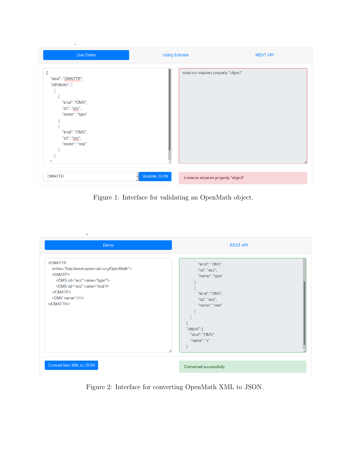| Live Demo                                                                                                                                    | <b>Using Schema</b>                                  | <b>REST API</b> |
|----------------------------------------------------------------------------------------------------------------------------------------------|------------------------------------------------------|-----------------|
| "kind": "OMATTR",<br>"attributes": [<br>"kind": "OMS",<br>"cd": "ecc",<br>"name": "type"<br>"kind": "OMS",<br>"cd": "ecc",<br>"name": "real" | instance requires property "object"                  |                 |
| <b>OMATTR</b>                                                                                                                                | Validate JSON<br>instance requires property "object" |                 |

J.

<span id="page-14-0"></span>Figure 1: Interface for validating an OpenMath object.

| ٠<br>Demo                                                                                                                                                                                                                                                                | <b>REST API</b>                                                                                                                                                                 |
|--------------------------------------------------------------------------------------------------------------------------------------------------------------------------------------------------------------------------------------------------------------------------|---------------------------------------------------------------------------------------------------------------------------------------------------------------------------------|
| <omattr<br>xmlns="http://www.openmath.org/OpenMath"&gt;<br/><omatp><br/><oms cd="ecc" name="type"></oms><br/><oms cd="ecc" name="real"></oms><br/><math>&lt;</math>/OMATP&gt;<br/><omv name="x"></omv><br/><math>&lt;</math>/OMATTR<math>&gt;</math></omatp></omattr<br> | $\mathbf{K}$<br>"kind": "OMS",<br>"cd": "ecc",<br>"name": "type"<br>ł,<br>"kind": "OMS",<br>"cd": "ecc",<br>"name": "real"<br>ъ<br>"object": {<br>"kind": "OMV",<br>"name": "x" |
| Convert from XML to JSON                                                                                                                                                                                                                                                 | Converted successfully                                                                                                                                                          |

<span id="page-14-1"></span>Figure 2: Interface for converting OpenMath XML to JSON.